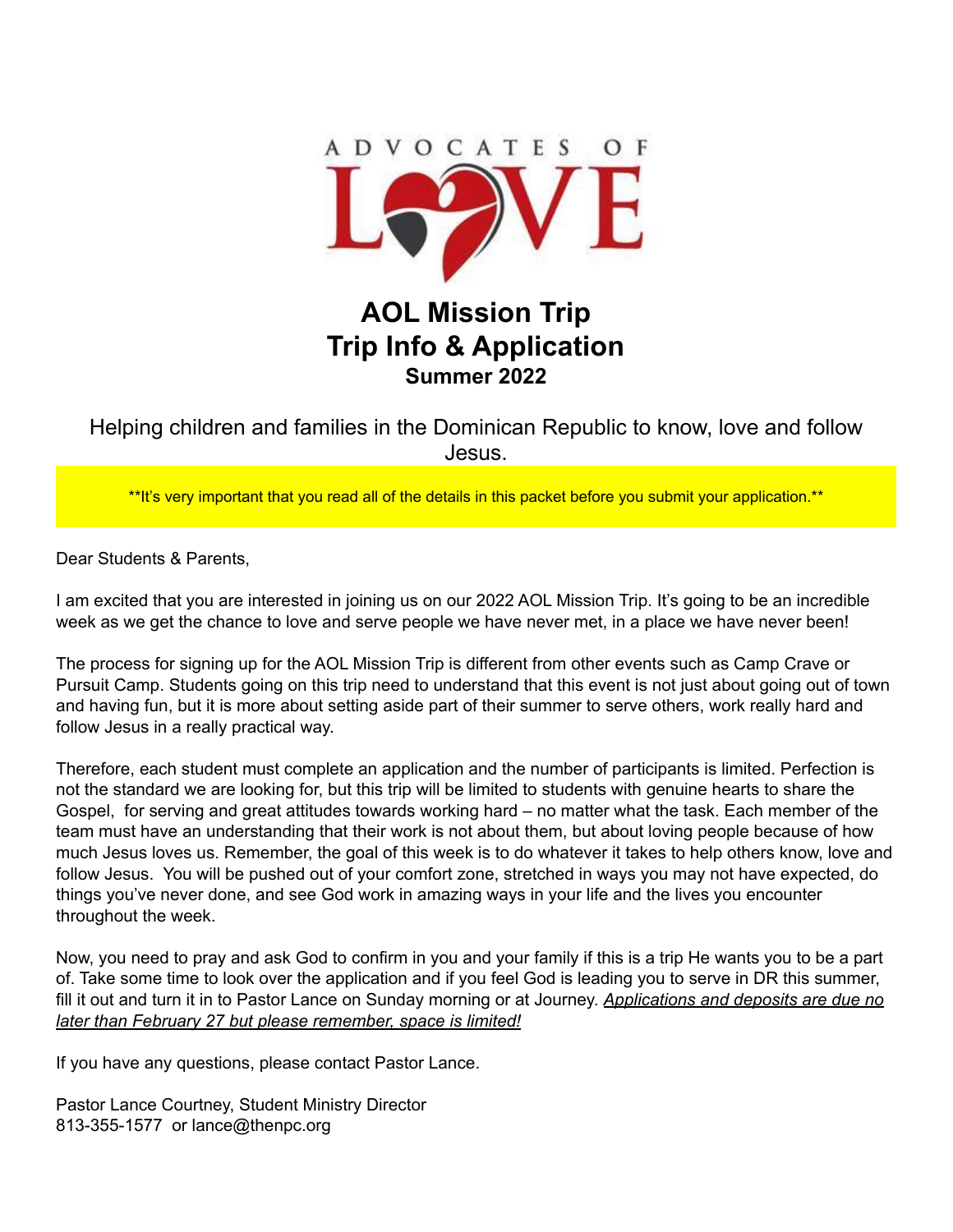

# **AOL Mission Trip Trip Info & Application Summer 2022**

Helping children and families in the Dominican Republic to know, love and follow Jesus.

\*\*It's very important that you read all of the details in this packet before you submit your application.\*\*

Dear Students & Parents,

I am excited that you are interested in joining us on our 2022 AOL Mission Trip. It's going to be an incredible week as we get the chance to love and serve people we have never met, in a place we have never been!

The process for signing up for the AOL Mission Trip is different from other events such as Camp Crave or Pursuit Camp. Students going on this trip need to understand that this event is not just about going out of town and having fun, but it is more about setting aside part of their summer to serve others, work really hard and follow Jesus in a really practical way.

Therefore, each student must complete an application and the number of participants is limited. Perfection is not the standard we are looking for, but this trip will be limited to students with genuine hearts to share the Gospel, for serving and great attitudes towards working hard – no matter what the task. Each member of the team must have an understanding that their work is not about them, but about loving people because of how much Jesus loves us. Remember, the goal of this week is to do whatever it takes to help others know, love and follow Jesus. You will be pushed out of your comfort zone, stretched in ways you may not have expected, do things you've never done, and see God work in amazing ways in your life and the lives you encounter throughout the week.

Now, you need to pray and ask God to confirm in you and your family if this is a trip He wants you to be a part of. Take some time to look over the application and if you feel God is leading you to serve in DR this summer, fill it out and turn it in to Pastor Lance on Sunday morning or at Journey. *Applications and deposits are due no later than February 27 but please remember, space is limited!*

If you have any questions, please contact Pastor Lance.

Pastor Lance Courtney, Student Ministry Director 813-355-1577 or lance@thenpc.org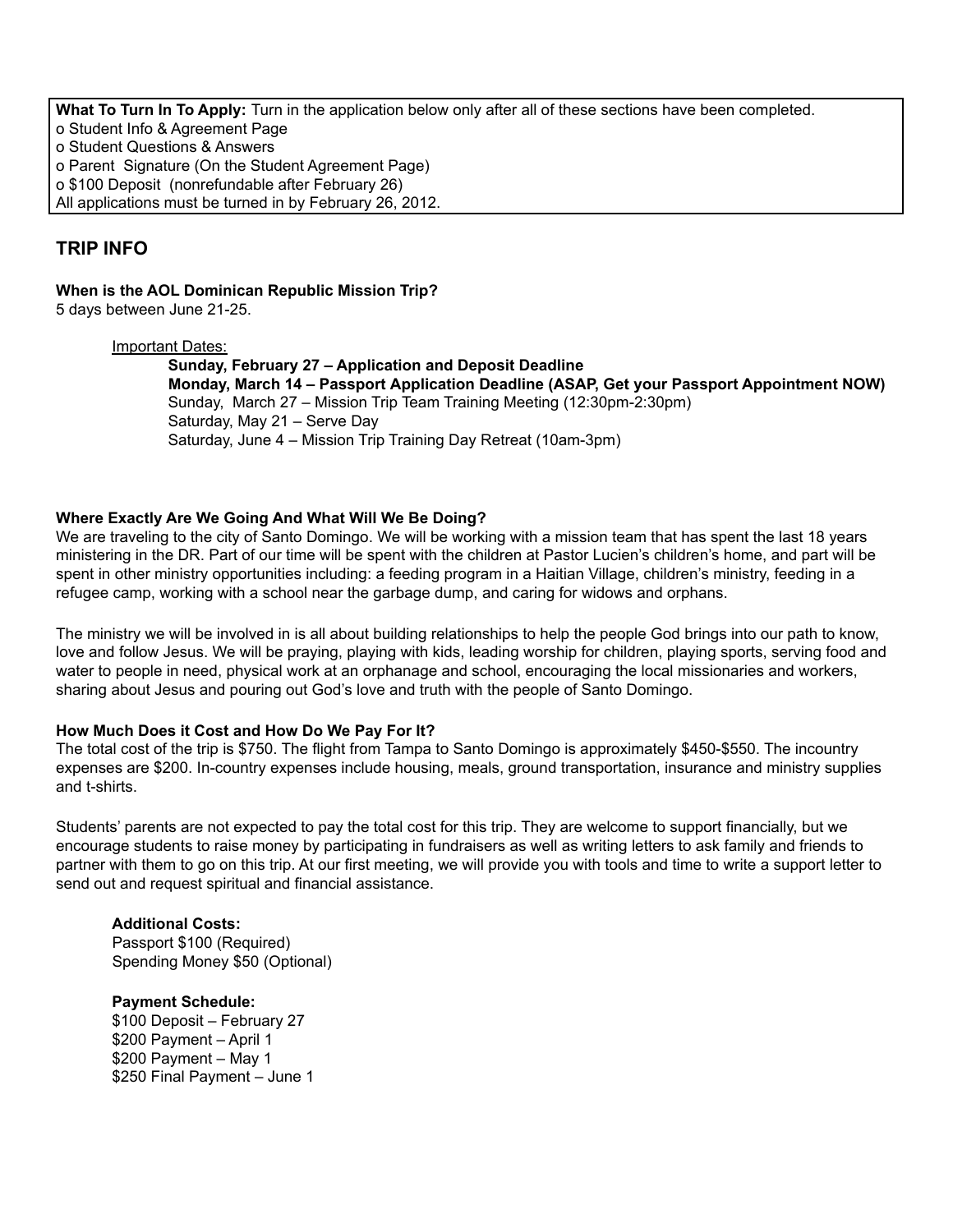**What To Turn In To Apply:** Turn in the application below only after all of these sections have been completed. o Student Info & Agreement Page o Student Questions & Answers o Parent Signature (On the Student Agreement Page) o \$100 Deposit (nonrefundable after February 26) All applications must be turned in by February 26, 2012.

## **TRIP INFO**

**When is the AOL Dominican Republic Mission Trip?**

5 days between June 21-25.

#### Important Dates:

**Sunday, February 27 – Application and Deposit Deadline Monday, March 14 – Passport Application Deadline (ASAP, Get your Passport Appointment NOW)** Sunday, March 27 – Mission Trip Team Training Meeting (12:30pm-2:30pm) Saturday, May 21 – Serve Day Saturday, June 4 – Mission Trip Training Day Retreat (10am-3pm)

## **Where Exactly Are We Going And What Will We Be Doing?**

We are traveling to the city of Santo Domingo. We will be working with a mission team that has spent the last 18 years ministering in the DR. Part of our time will be spent with the children at Pastor Lucien's children's home, and part will be spent in other ministry opportunities including: a feeding program in a Haitian Village, children's ministry, feeding in a refugee camp, working with a school near the garbage dump, and caring for widows and orphans.

The ministry we will be involved in is all about building relationships to help the people God brings into our path to know, love and follow Jesus. We will be praying, playing with kids, leading worship for children, playing sports, serving food and water to people in need, physical work at an orphanage and school, encouraging the local missionaries and workers, sharing about Jesus and pouring out God's love and truth with the people of Santo Domingo.

## **How Much Does it Cost and How Do We Pay For It?**

The total cost of the trip is \$750. The flight from Tampa to Santo Domingo is approximately \$450-\$550. The incountry expenses are \$200. In-country expenses include housing, meals, ground transportation, insurance and ministry supplies and t-shirts.

Students' parents are not expected to pay the total cost for this trip. They are welcome to support financially, but we encourage students to raise money by participating in fundraisers as well as writing letters to ask family and friends to partner with them to go on this trip. At our first meeting, we will provide you with tools and time to write a support letter to send out and request spiritual and financial assistance.

## **Additional Costs:**

Passport \$100 (Required) Spending Money \$50 (Optional)

## **Payment Schedule:**

\$100 Deposit – February 27 \$200 Payment – April 1 \$200 Payment – May 1 \$250 Final Payment – June 1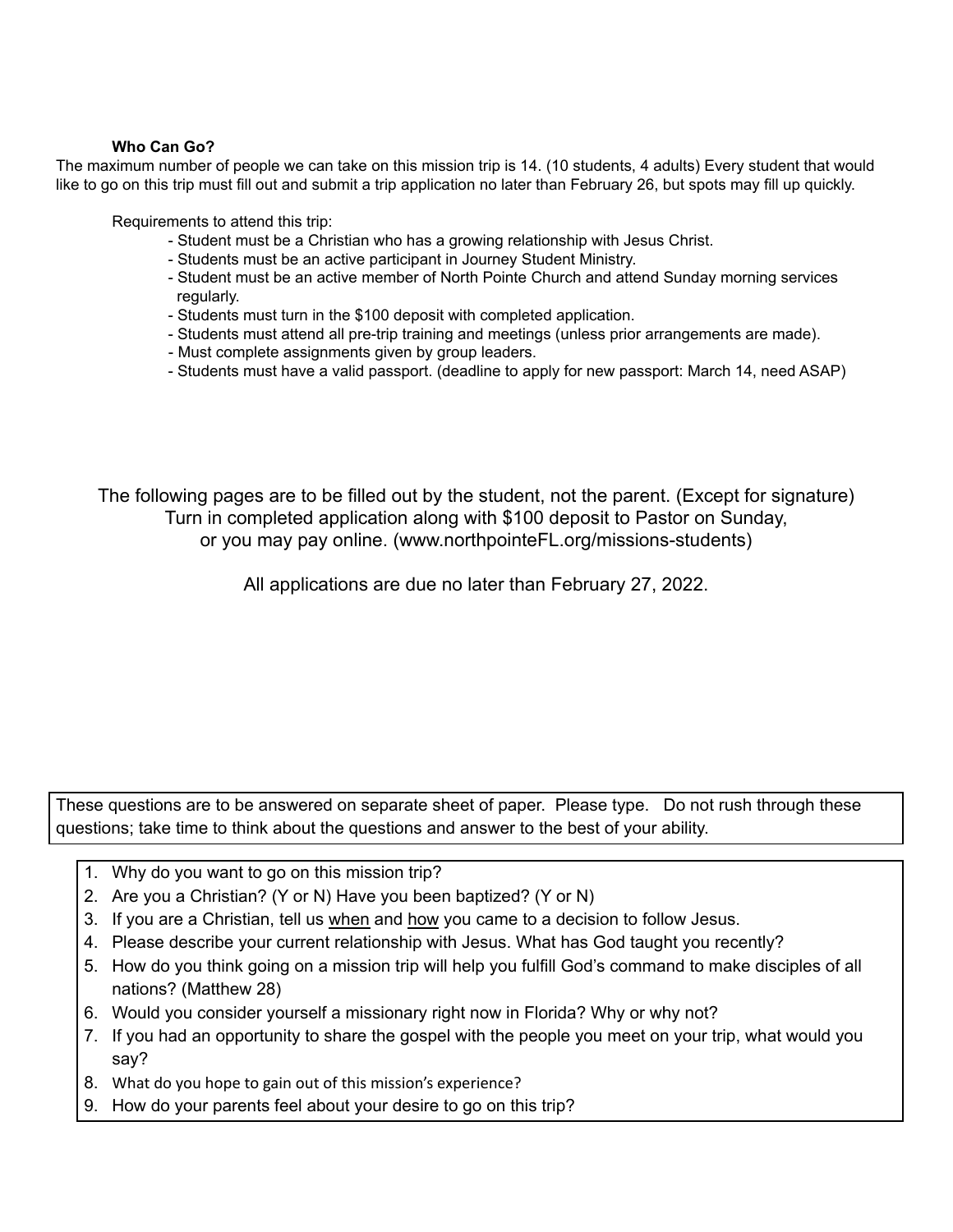#### **Who Can Go?**

The maximum number of people we can take on this mission trip is 14. (10 students, 4 adults) Every student that would like to go on this trip must fill out and submit a trip application no later than February 26, but spots may fill up quickly.

Requirements to attend this trip:

- Student must be a Christian who has a growing relationship with Jesus Christ.
- Students must be an active participant in Journey Student Ministry.
- Student must be an active member of North Pointe Church and attend Sunday morning services regularly.
- Students must turn in the \$100 deposit with completed application.
- Students must attend all pre-trip training and meetings (unless prior arrangements are made).
- Must complete assignments given by group leaders.
- Students must have a valid passport. (deadline to apply for new passport: March 14, need ASAP)

The following pages are to be filled out by the student, not the parent. (Except for signature) Turn in completed application along with \$100 deposit to Pastor on Sunday, or you may pay online. (www.northpointeFL.org/missions-students)

All applications are due no later than February 27, 2022.

These questions are to be answered on separate sheet of paper. Please type. Do not rush through these questions; take time to think about the questions and answer to the best of your ability.

- 1. Why do you want to go on this mission trip?
- 2. Are you a Christian? (Y or N) Have you been baptized? (Y or N)
- 3. If you are a Christian, tell us when and how you came to a decision to follow Jesus.
- 4. Please describe your current relationship with Jesus. What has God taught you recently?
- 5. How do you think going on a mission trip will help you fulfill God's command to make disciples of all nations? (Matthew 28)
- 6. Would you consider yourself a missionary right now in Florida? Why or why not?
- 7. If you had an opportunity to share the gospel with the people you meet on your trip, what would you say?
- 8. What do you hope to gain out of this mission's experience?
- 9. How do your parents feel about your desire to go on this trip?